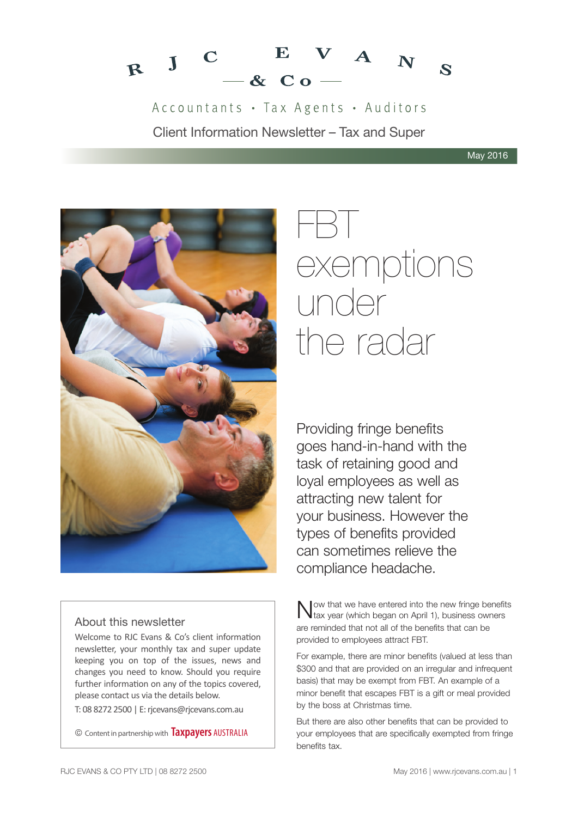

Accountants · Tax Agents · Auditors Client Information Newsletter – Tax and Super



# About this newsletter

Welcome to RJC Evans & Co's client information newsletter, your monthly tax and super update keeping you on top of the issues, news and changes you need to know. Should you require further information on any of the topics covered, please contact us via the details below.

T: 08 8272 2500 | E: rjcevans@rjcevans.com.au

© Content in partnership with **Taxpayers** AUSTRALIA



Providing fringe benefits goes hand-in-hand with the task of retaining good and loyal employees as well as attracting new talent for your business. However the types of benefits provided can sometimes relieve the compliance headache.

Now that we have entered into the new fringe benefits<br>tax year (which began on April 1), business owners are reminded that not all of the benefits that can be provided to employees attract FBT.

For example, there are minor benefits (valued at less than \$300 and that are provided on an irregular and infrequent basis) that may be exempt from FBT. An example of a minor benefit that escapes FBT is a gift or meal provided by the boss at Christmas time.

But there are also other benefits that can be provided to your employees that are specifically exempted from fringe benefits tax.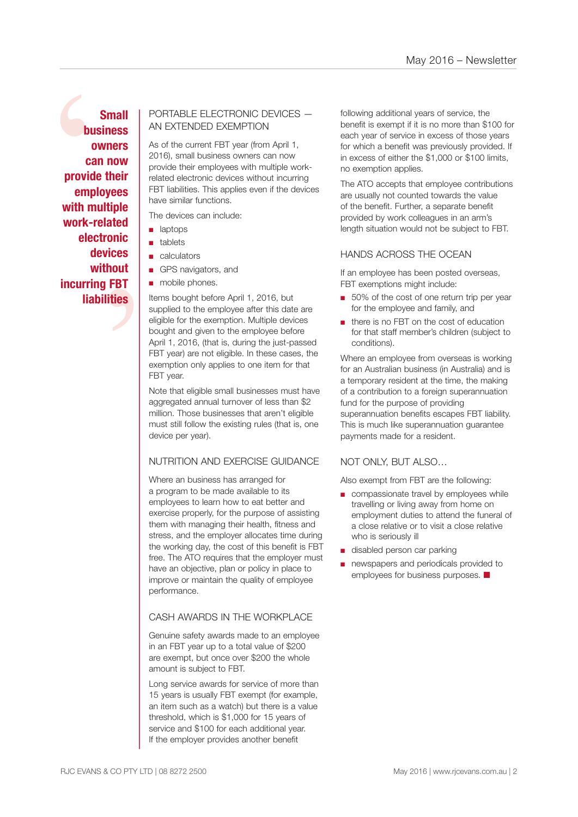bus<br>
ov<br>
car<br>
provide<br>
emple<br>
with mu<br>
work-re<br>
elect ated<br>onic<br>ices<br>nout<br>FBT<br>ties **Small business owners can now provide their employees with multiple work-related electronic devices without incurring FBT liabilities**

# PORTABLE ELECTRONIC DEVICES — AN EXTENDED EXEMPTION

As of the current FBT year (from April 1, 2016), small business owners can now provide their employees with multiple workrelated electronic devices without incurring FBT liabilities. This applies even if the devices have similar functions.

The devices can include:

- laptops
- tablets
- calculators
- GPS navigators, and
- mobile phones.

Items bought before April 1, 2016, but supplied to the employee after this date are eligible for the exemption. Multiple devices bought and given to the employee before April 1, 2016, (that is, during the just-passed FBT year) are not eligible. In these cases, the exemption only applies to one item for that FBT year.

Note that eligible small businesses must have aggregated annual turnover of less than \$2 million. Those businesses that aren't eligible must still follow the existing rules (that is, one device per year).

# NUTRITION AND EXERCISE GUIDANCE

Where an business has arranged for a program to be made available to its employees to learn how to eat better and exercise properly, for the purpose of assisting them with managing their health, fitness and stress, and the employer allocates time during the working day, the cost of this benefit is FBT free. The ATO requires that the employer must have an objective, plan or policy in place to improve or maintain the quality of employee performance.

### CASH AWARDS IN THE WORKPLACE

Genuine safety awards made to an employee in an FBT year up to a total value of \$200 are exempt, but once over \$200 the whole amount is subject to FBT.

Long service awards for service of more than 15 years is usually FBT exempt (for example, an item such as a watch) but there is a value threshold, which is \$1,000 for 15 years of service and \$100 for each additional year. If the employer provides another benefit

following additional years of service, the benefit is exempt if it is no more than \$100 for each year of service in excess of those years for which a benefit was previously provided. If in excess of either the \$1,000 or \$100 limits, no exemption applies.

The ATO accepts that employee contributions are usually not counted towards the value of the benefit. Further, a separate benefit provided by work colleagues in an arm's length situation would not be subject to FBT.

### HANDS ACROSS THE OCEAN

If an employee has been posted overseas, FBT exemptions might include:

- 50% of the cost of one return trip per year for the employee and family, and
- there is no FBT on the cost of education for that staff member's children (subject to conditions).

Where an employee from overseas is working for an Australian business (in Australia) and is a temporary resident at the time, the making of a contribution to a foreign superannuation fund for the purpose of providing superannuation benefits escapes FBT liability. This is much like superannuation guarantee payments made for a resident.

# NOT ONLY, BUT ALSO…

Also exempt from FBT are the following:

- compassionate travel by employees while travelling or living away from home on employment duties to attend the funeral of a close relative or to visit a close relative who is seriously ill
- disabled person car parking
- newspapers and periodicals provided to employees for business purposes.  $\blacksquare$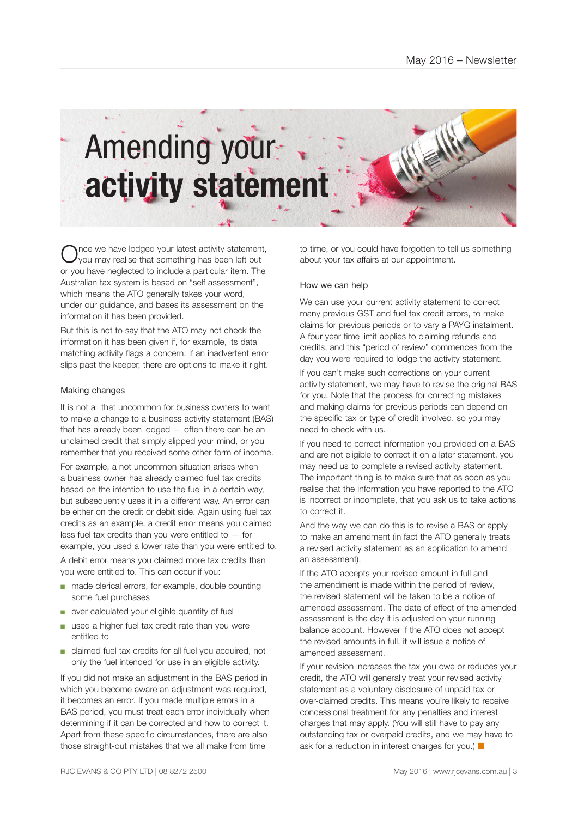

nce we have lodged your latest activity statement, you may realise that something has been left out or you have neglected to include a particular item. The Australian tax system is based on "self assessment", which means the ATO generally takes your word, under our guidance, and bases its assessment on the information it has been provided.

But this is not to say that the ATO may not check the information it has been given if, for example, its data matching activity flags a concern. If an inadvertent error slips past the keeper, there are options to make it right.

### Making changes

It is not all that uncommon for business owners to want to make a change to a business activity statement (BAS) that has already been lodged — often there can be an unclaimed credit that simply slipped your mind, or you remember that you received some other form of income.

For example, a not uncommon situation arises when a business owner has already claimed fuel tax credits based on the intention to use the fuel in a certain way, but subsequently uses it in a different way. An error can be either on the credit or debit side. Again using fuel tax credits as an example, a credit error means you claimed less fuel tax credits than you were entitled to  $-$  for example, you used a lower rate than you were entitled to. A debit error means you claimed more tax credits than you were entitled to. This can occur if you:

- made clerical errors, for example, double counting some fuel purchases
- over calculated your eligible quantity of fuel
- used a higher fuel tax credit rate than you were entitled to
- claimed fuel tax credits for all fuel you acquired, not only the fuel intended for use in an eligible activity.

If you did not make an adjustment in the BAS period in which you become aware an adjustment was required. it becomes an error. If you made multiple errors in a BAS period, you must treat each error individually when determining if it can be corrected and how to correct it. Apart from these specific circumstances, there are also those straight-out mistakes that we all make from time

to time, or you could have forgotten to tell us something about your tax affairs at our appointment.

### How we can help

We can use your current activity statement to correct many previous GST and fuel tax credit errors, to make claims for previous periods or to vary a PAYG instalment. A four year time limit applies to claiming refunds and credits, and this "period of review" commences from the day you were required to lodge the activity statement.

If you can't make such corrections on your current activity statement, we may have to revise the original BAS for you. Note that the process for correcting mistakes and making claims for previous periods can depend on the specific tax or type of credit involved, so you may need to check with us.

If you need to correct information you provided on a BAS and are not eligible to correct it on a later statement, you may need us to complete a revised activity statement. The important thing is to make sure that as soon as you realise that the information you have reported to the ATO is incorrect or incomplete, that you ask us to take actions to correct it.

And the way we can do this is to revise a BAS or apply to make an amendment (in fact the ATO generally treats a revised activity statement as an application to amend an assessment).

If the ATO accepts your revised amount in full and the amendment is made within the period of review, the revised statement will be taken to be a notice of amended assessment. The date of effect of the amended assessment is the day it is adjusted on your running balance account. However if the ATO does not accept the revised amounts in full, it will issue a notice of amended assessment.

If your revision increases the tax you owe or reduces your credit, the ATO will generally treat your revised activity statement as a voluntary disclosure of unpaid tax or over-claimed credits. This means you're likely to receive concessional treatment for any penalties and interest charges that may apply. (You will still have to pay any outstanding tax or overpaid credits, and we may have to ask for a reduction in interest charges for you.)  $\blacksquare$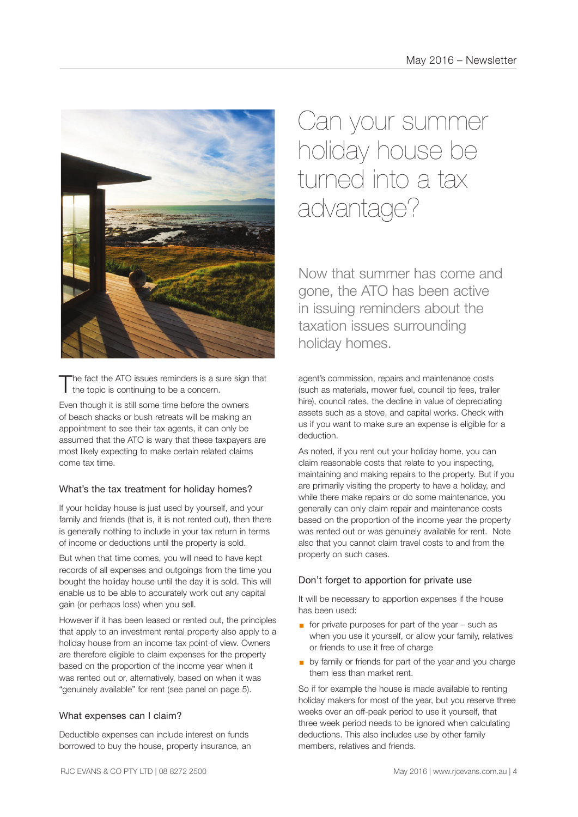![](_page_3_Picture_1.jpeg)

The fact the ATO issues reminders is a sure sign that  $\mathbf I$  the topic is continuing to be a concern.

Even though it is still some time before the owners of beach shacks or bush retreats will be making an appointment to see their tax agents, it can only be assumed that the ATO is wary that these taxpayers are most likely expecting to make certain related claims come tax time.

# What's the tax treatment for holiday homes?

If your holiday house is just used by yourself, and your family and friends (that is, it is not rented out), then there is generally nothing to include in your tax return in terms of income or deductions until the property is sold.

But when that time comes, you will need to have kept records of all expenses and outgoings from the time you bought the holiday house until the day it is sold. This will enable us to be able to accurately work out any capital gain (or perhaps loss) when you sell.

However if it has been leased or rented out, the principles that apply to an investment rental property also apply to a holiday house from an income tax point of view. Owners are therefore eligible to claim expenses for the property based on the proportion of the income year when it was rented out or, alternatively, based on when it was "genuinely available" for rent (see panel on page 5).

# What expenses can I claim?

Deductible expenses can include interest on funds borrowed to buy the house, property insurance, an

Can your summer holiday house be turned into a tax advantage?

Now that summer has come and gone, the ATO has been active in issuing reminders about the taxation issues surrounding holiday homes.

agent's commission, repairs and maintenance costs (such as materials, mower fuel, council tip fees, trailer hire), council rates, the decline in value of depreciating assets such as a stove, and capital works. Check with us if you want to make sure an expense is eligible for a deduction.

As noted, if you rent out your holiday home, you can claim reasonable costs that relate to you inspecting, maintaining and making repairs to the property. But if you are primarily visiting the property to have a holiday, and while there make repairs or do some maintenance, you generally can only claim repair and maintenance costs based on the proportion of the income year the property was rented out or was genuinely available for rent. Note also that you cannot claim travel costs to and from the property on such cases.

# Don't forget to apportion for private use

It will be necessary to apportion expenses if the house has been used:

- $\blacksquare$  for private purposes for part of the year such as when you use it yourself, or allow your family, relatives or friends to use it free of charge
- **by family or friends for part of the year and you charge** them less than market rent.

So if for example the house is made available to renting holiday makers for most of the year, but you reserve three weeks over an off-peak period to use it yourself, that three week period needs to be ignored when calculating deductions. This also includes use by other family members, relatives and friends.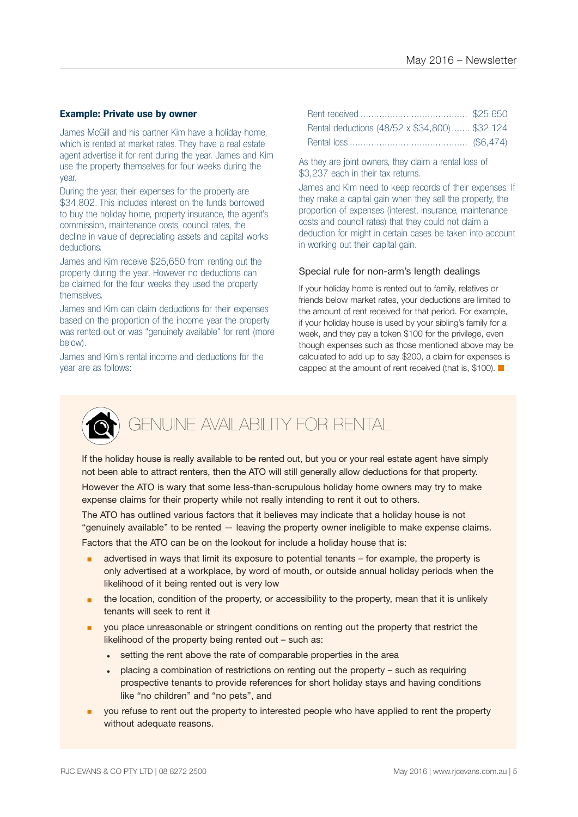### **Example: Private use by owner**

James McGill and his partner Kim have a holiday home, which is rented at market rates. They have a real estate agent advertise it for rent during the year. James and Kim use the property themselves for four weeks during the year.

During the year, their expenses for the property are \$34,802. This includes interest on the funds borrowed to buy the holiday home, property insurance, the agent's commission, maintenance costs, council rates, the decline in value of depreciating assets and capital works deductions.

James and Kim receive \$25,650 from renting out the property during the year. However no deductions can be claimed for the four weeks they used the property themselves.

James and Kim can claim deductions for their expenses based on the proportion of the income year the property was rented out or was "genuinely available" for rent (more below).

James and Kim's rental income and deductions for the year are as follows:

| Rental deductions (48/52 x \$34,800) \$32,124 |  |
|-----------------------------------------------|--|
|                                               |  |

As they are joint owners, they claim a rental loss of \$3,237 each in their tax returns.

James and Kim need to keep records of their expenses. If they make a capital gain when they sell the property, the proportion of expenses (interest, insurance, maintenance costs and council rates) that they could not claim a deduction for might in certain cases be taken into account in working out their capital gain.

### Special rule for non-arm's length dealings

If your holiday home is rented out to family, relatives or friends below market rates, your deductions are limited to the amount of rent received for that period. For example, if your holiday house is used by your sibling's family for a week, and they pay a token \$100 for the privilege, even though expenses such as those mentioned above may be calculated to add up to say \$200, a claim for expenses is capped at the amount of rent received (that is, \$100).  $\blacksquare$ 

![](_page_4_Picture_12.jpeg)

# GENUINE AVAILABILITY FOR RENTAL

If the holiday house is really available to be rented out, but you or your real estate agent have simply not been able to attract renters, then the ATO will still generally allow deductions for that property.

However the ATO is wary that some less-than-scrupulous holiday home owners may try to make expense claims for their property while not really intending to rent it out to others.

The ATO has outlined various factors that it believes may indicate that a holiday house is not "genuinely available" to be rented — leaving the property owner ineligible to make expense claims. Factors that the ATO can be on the lookout for include a holiday house that is:

- advertised in ways that limit its exposure to potential tenants for example, the property is only advertised at a workplace, by word of mouth, or outside annual holiday periods when the likelihood of it being rented out is very low
- the location, condition of the property, or accessibility to the property, mean that it is unlikely tenants will seek to rent it
- **•** you place unreasonable or stringent conditions on renting out the property that restrict the likelihood of the property being rented out – such as:
	- setting the rent above the rate of comparable properties in the area
	- placing a combination of restrictions on renting out the property such as requiring prospective tenants to provide references for short holiday stays and having conditions like "no children" and "no pets", and
- **•** you refuse to rent out the property to interested people who have applied to rent the property without adequate reasons.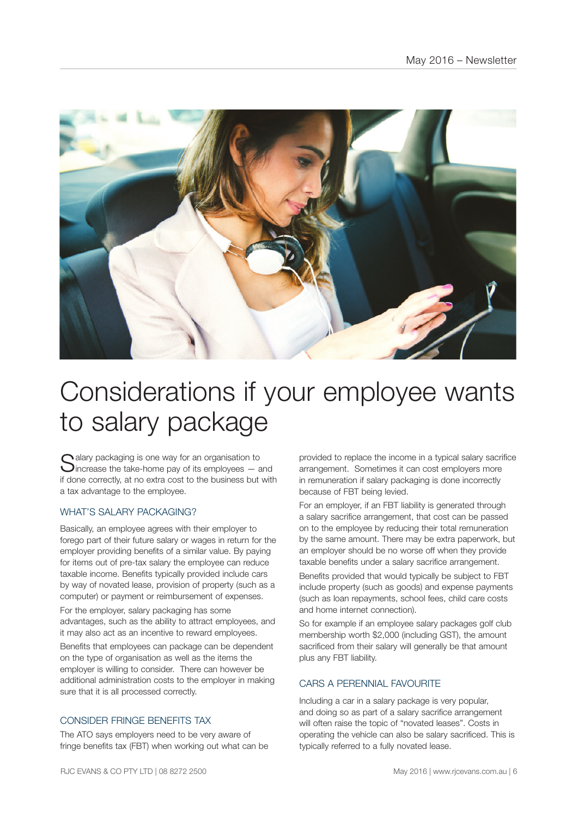![](_page_5_Picture_1.jpeg)

# Considerations if your employee wants to salary package

 $\bigcap$  alary packaging is one way for an organisation to **J**increase the take-home pay of its employees  $-$  and if done correctly, at no extra cost to the business but with a tax advantage to the employee.

# WHAT'S SALARY PACKAGING?

Basically, an employee agrees with their employer to forego part of their future salary or wages in return for the employer providing benefits of a similar value. By paying for items out of pre-tax salary the employee can reduce taxable income. Benefits typically provided include cars by way of novated lease, provision of property (such as a computer) or payment or reimbursement of expenses.

For the employer, salary packaging has some advantages, such as the ability to attract employees, and it may also act as an incentive to reward employees.

Benefits that employees can package can be dependent on the type of organisation as well as the items the employer is willing to consider. There can however be additional administration costs to the employer in making sure that it is all processed correctly.

# CONSIDER FRINGE BENEFITS TAX

The ATO says employers need to be very aware of fringe benefits tax (FBT) when working out what can be provided to replace the income in a typical salary sacrifice arrangement. Sometimes it can cost employers more in remuneration if salary packaging is done incorrectly because of FBT being levied.

For an employer, if an FBT liability is generated through a salary sacrifice arrangement, that cost can be passed on to the employee by reducing their total remuneration by the same amount. There may be extra paperwork, but an employer should be no worse off when they provide taxable benefits under a salary sacrifice arrangement.

Benefits provided that would typically be subject to FBT include property (such as goods) and expense payments (such as loan repayments, school fees, child care costs and home internet connection).

So for example if an employee salary packages golf club membership worth \$2,000 (including GST), the amount sacrificed from their salary will generally be that amount plus any FBT liability.

# CARS A PERENNIAL FAVOURITE

Including a car in a salary package is very popular, and doing so as part of a salary sacrifice arrangement will often raise the topic of "novated leases". Costs in operating the vehicle can also be salary sacrificed. This is typically referred to a fully novated lease.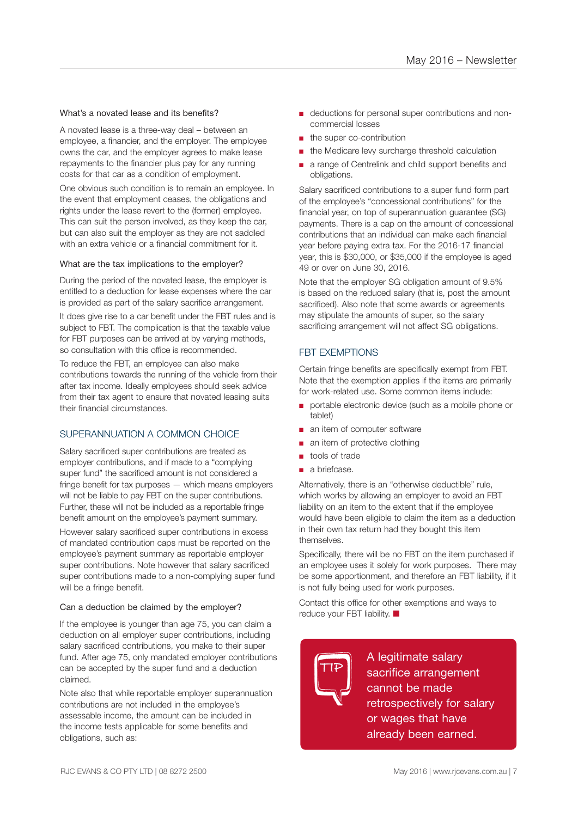### What's a novated lease and its benefits?

A novated lease is a three-way deal – between an employee, a financier, and the employer. The employee owns the car, and the employer agrees to make lease repayments to the financier plus pay for any running costs for that car as a condition of employment.

One obvious such condition is to remain an employee. In the event that employment ceases, the obligations and rights under the lease revert to the (former) employee. This can suit the person involved, as they keep the car, but can also suit the employer as they are not saddled with an extra vehicle or a financial commitment for it.

### What are the tax implications to the employer?

During the period of the novated lease, the employer is entitled to a deduction for lease expenses where the car is provided as part of the salary sacrifice arrangement.

It does give rise to a car benefit under the FBT rules and is subject to FBT. The complication is that the taxable value for FBT purposes can be arrived at by varying methods, so consultation with this office is recommended.

To reduce the FBT, an employee can also make contributions towards the running of the vehicle from their after tax income. Ideally employees should seek advice from their tax agent to ensure that novated leasing suits their financial circumstances.

# SUPERANNUATION A COMMON CHOICE

Salary sacrificed super contributions are treated as employer contributions, and if made to a "complying super fund" the sacrificed amount is not considered a fringe benefit for tax purposes — which means employers will not be liable to pay FBT on the super contributions. Further, these will not be included as a reportable fringe benefit amount on the employee's payment summary.

However salary sacrificed super contributions in excess of mandated contribution caps must be reported on the employee's payment summary as reportable employer super contributions. Note however that salary sacrificed super contributions made to a non-complying super fund will be a fringe benefit.

### Can a deduction be claimed by the employer?

If the employee is younger than age 75, you can claim a deduction on all employer super contributions, including salary sacrificed contributions, you make to their super fund. After age 75, only mandated employer contributions can be accepted by the super fund and a deduction claimed.

Note also that while reportable employer superannuation contributions are not included in the employee's assessable income, the amount can be included in the income tests applicable for some benefits and obligations, such as:

- deductions for personal super contributions and noncommercial losses
- the super co-contribution
- the Medicare levy surcharge threshold calculation
- a range of Centrelink and child support benefits and obligations.

Salary sacrificed contributions to a super fund form part of the employee's "concessional contributions" for the financial year, on top of superannuation guarantee (SG) payments. There is a cap on the amount of concessional contributions that an individual can make each financial year before paying extra tax. For the 2016-17 financial year, this is \$30,000, or \$35,000 if the employee is aged 49 or over on June 30, 2016.

Note that the employer SG obligation amount of 9.5% is based on the reduced salary (that is, post the amount sacrificed). Also note that some awards or agreements may stipulate the amounts of super, so the salary sacrificing arrangement will not affect SG obligations.

# FBT EXEMPTIONS

Certain fringe benefits are specifically exempt from FBT. Note that the exemption applies if the items are primarily for work-related use. Some common items include:

- portable electronic device (such as a mobile phone or tablet)
- an item of computer software
- an item of protective clothing
- tools of trade
- a briefcase.

Alternatively, there is an "otherwise deductible" rule, which works by allowing an employer to avoid an FBT liability on an item to the extent that if the employee would have been eligible to claim the item as a deduction in their own tax return had they bought this item themselves

Specifically, there will be no FBT on the item purchased if an employee uses it solely for work purposes. There may be some apportionment, and therefore an FBT liability, if it is not fully being used for work purposes.

Contact this office for other exemptions and ways to reduce your FBT liability.  $\blacksquare$ 

**TIP** A legitimate salary sacrifice arrangement cannot be made retrospectively for salary or wages that have already been earned.